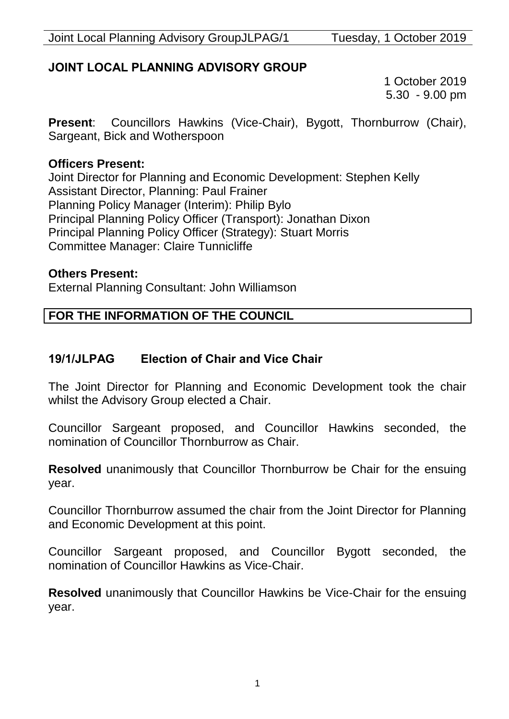# **JOINT LOCAL PLANNING ADVISORY GROUP**

1 October 2019 5.30 - 9.00 pm

**Present**: Councillors Hawkins (Vice-Chair), Bygott, Thornburrow (Chair), Sargeant, Bick and Wotherspoon

#### **Officers Present:**

Joint Director for Planning and Economic Development: Stephen Kelly Assistant Director, Planning: Paul Frainer Planning Policy Manager (Interim): Philip Bylo Principal Planning Policy Officer (Transport): Jonathan Dixon Principal Planning Policy Officer (Strategy): Stuart Morris Committee Manager: Claire Tunnicliffe

#### **Others Present:**

External Planning Consultant: John Williamson

# **FOR THE INFORMATION OF THE COUNCIL**

# **19/1/JLPAG Election of Chair and Vice Chair**

The Joint Director for Planning and Economic Development took the chair whilst the Advisory Group elected a Chair.

Councillor Sargeant proposed, and Councillor Hawkins seconded, the nomination of Councillor Thornburrow as Chair.

**Resolved** unanimously that Councillor Thornburrow be Chair for the ensuing year.

Councillor Thornburrow assumed the chair from the Joint Director for Planning and Economic Development at this point.

Councillor Sargeant proposed, and Councillor Bygott seconded, the nomination of Councillor Hawkins as Vice-Chair.

**Resolved** unanimously that Councillor Hawkins be Vice-Chair for the ensuing year.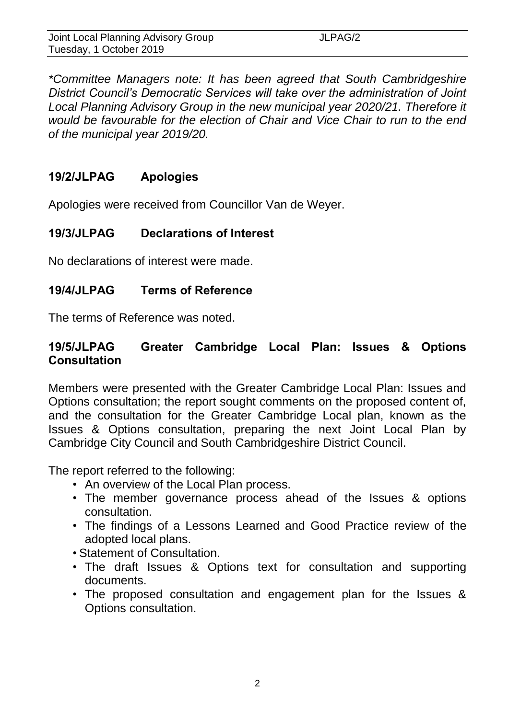| Joint Local Planning Advisory Group | JLPAG/2 |  |
|-------------------------------------|---------|--|
| Tuesday, 1 October 2019             |         |  |

*\*Committee Managers note: It has been agreed that South Cambridgeshire District Council's Democratic Services will take over the administration of Joint*  Local Planning Advisory Group in the new municipal year 2020/21. Therefore it *would be favourable for the election of Chair and Vice Chair to run to the end of the municipal year 2019/20.* 

### **19/2/JLPAG Apologies**

Apologies were received from Councillor Van de Weyer.

# **19/3/JLPAG Declarations of Interest**

No declarations of interest were made.

### **19/4/JLPAG Terms of Reference**

The terms of Reference was noted.

### **19/5/JLPAG Greater Cambridge Local Plan: Issues & Options Consultation**

Members were presented with the Greater Cambridge Local Plan: Issues and Options consultation; the report sought comments on the proposed content of, and the consultation for the Greater Cambridge Local plan, known as the Issues & Options consultation, preparing the next Joint Local Plan by Cambridge City Council and South Cambridgeshire District Council.

The report referred to the following:

- An overview of the Local Plan process.
- The member governance process ahead of the Issues & options consultation.
- The findings of a Lessons Learned and Good Practice review of the adopted local plans.
- Statement of Consultation.
- The draft Issues & Options text for consultation and supporting documents.
- The proposed consultation and engagement plan for the Issues & Options consultation.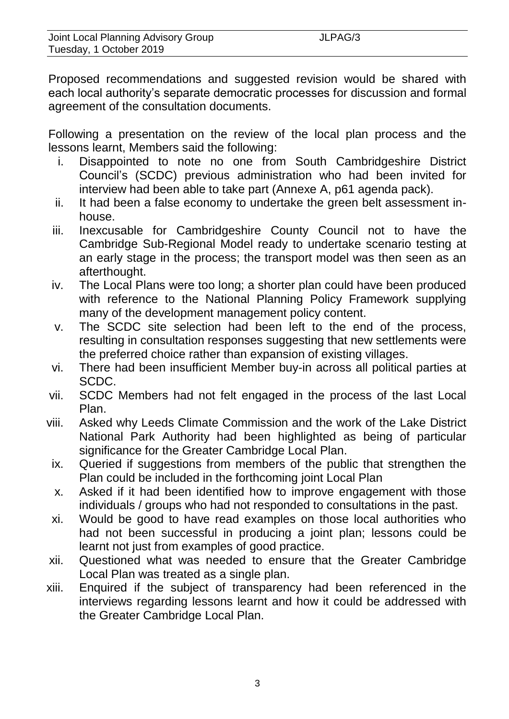Proposed recommendations and suggested revision would be shared with each local authority's separate democratic processes for discussion and formal agreement of the consultation documents.

Following a presentation on the review of the local plan process and the lessons learnt, Members said the following:

- i. Disappointed to note no one from South Cambridgeshire District Council's (SCDC) previous administration who had been invited for interview had been able to take part (Annexe A, p61 agenda pack).
- ii. It had been a false economy to undertake the green belt assessment inhouse.
- iii. Inexcusable for Cambridgeshire County Council not to have the Cambridge Sub-Regional Model ready to undertake scenario testing at an early stage in the process; the transport model was then seen as an afterthought.
- iv. The Local Plans were too long; a shorter plan could have been produced with reference to the National Planning Policy Framework supplying many of the development management policy content.
- v. The SCDC site selection had been left to the end of the process, resulting in consultation responses suggesting that new settlements were the preferred choice rather than expansion of existing villages.
- vi. There had been insufficient Member buy-in across all political parties at SCDC.
- vii. SCDC Members had not felt engaged in the process of the last Local Plan.
- viii. Asked why Leeds Climate Commission and the work of the Lake District National Park Authority had been highlighted as being of particular significance for the Greater Cambridge Local Plan.
- ix. Queried if suggestions from members of the public that strengthen the Plan could be included in the forthcoming joint Local Plan
- x. Asked if it had been identified how to improve engagement with those individuals / groups who had not responded to consultations in the past.
- xi. Would be good to have read examples on those local authorities who had not been successful in producing a joint plan; lessons could be learnt not just from examples of good practice.
- xii. Questioned what was needed to ensure that the Greater Cambridge Local Plan was treated as a single plan.
- xiii. Enquired if the subject of transparency had been referenced in the interviews regarding lessons learnt and how it could be addressed with the Greater Cambridge Local Plan.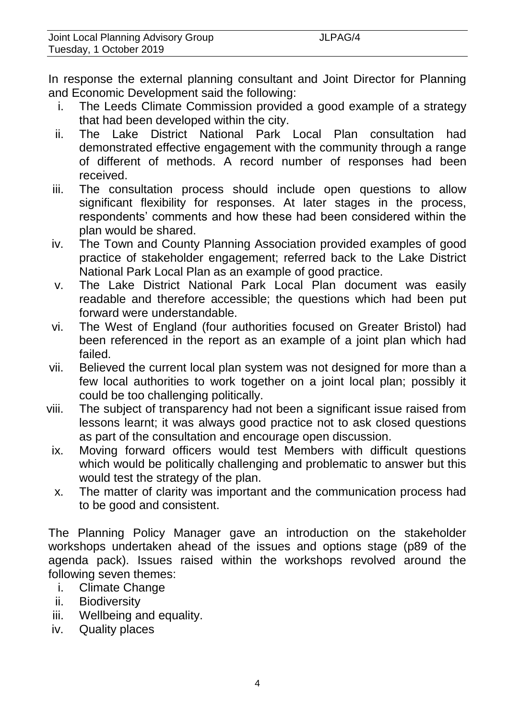In response the external planning consultant and Joint Director for Planning and Economic Development said the following:

- i. The Leeds Climate Commission provided a good example of a strategy that had been developed within the city.
- ii. The Lake District National Park Local Plan consultation had demonstrated effective engagement with the community through a range of different of methods. A record number of responses had been received.
- iii. The consultation process should include open questions to allow significant flexibility for responses. At later stages in the process, respondents' comments and how these had been considered within the plan would be shared.
- iv. The Town and County Planning Association provided examples of good practice of stakeholder engagement; referred back to the Lake District National Park Local Plan as an example of good practice.
- v. The Lake District National Park Local Plan document was easily readable and therefore accessible; the questions which had been put forward were understandable.
- vi. The West of England (four authorities focused on Greater Bristol) had been referenced in the report as an example of a joint plan which had failed.
- vii. Believed the current local plan system was not designed for more than a few local authorities to work together on a joint local plan; possibly it could be too challenging politically.
- viii. The subject of transparency had not been a significant issue raised from lessons learnt; it was always good practice not to ask closed questions as part of the consultation and encourage open discussion.
	- ix. Moving forward officers would test Members with difficult questions which would be politically challenging and problematic to answer but this would test the strategy of the plan.
	- x. The matter of clarity was important and the communication process had to be good and consistent.

The Planning Policy Manager gave an introduction on the stakeholder workshops undertaken ahead of the issues and options stage (p89 of the agenda pack). Issues raised within the workshops revolved around the following seven themes:

- i. Climate Change
- ii. Biodiversity
- iii. Wellbeing and equality.
- iv. Quality places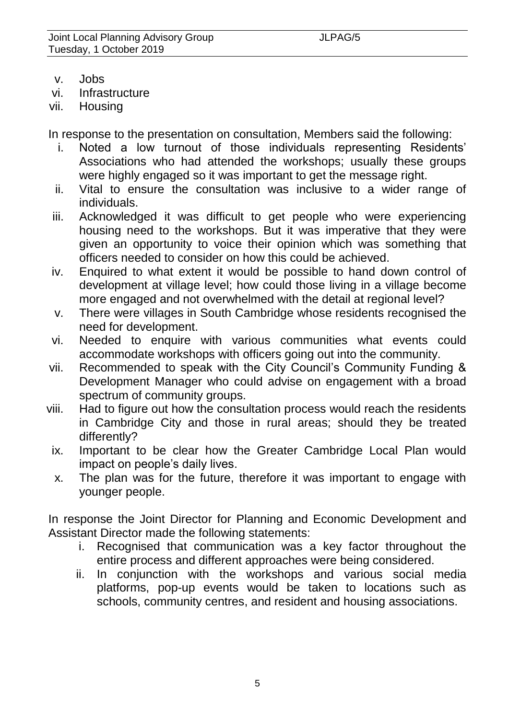- v. Jobs
- vi. Infrastructure
- vii. Housing

In response to the presentation on consultation, Members said the following:

- i. Noted a low turnout of those individuals representing Residents' Associations who had attended the workshops; usually these groups were highly engaged so it was important to get the message right.
- ii. Vital to ensure the consultation was inclusive to a wider range of individuals.
- iii. Acknowledged it was difficult to get people who were experiencing housing need to the workshops. But it was imperative that they were given an opportunity to voice their opinion which was something that officers needed to consider on how this could be achieved.
- iv. Enquired to what extent it would be possible to hand down control of development at village level; how could those living in a village become more engaged and not overwhelmed with the detail at regional level?
- v. There were villages in South Cambridge whose residents recognised the need for development.
- vi. Needed to enquire with various communities what events could accommodate workshops with officers going out into the community.
- vii. Recommended to speak with the City Council's Community Funding & Development Manager who could advise on engagement with a broad spectrum of community groups.
- viii. Had to figure out how the consultation process would reach the residents in Cambridge City and those in rural areas; should they be treated differently?
	- ix. Important to be clear how the Greater Cambridge Local Plan would impact on people's daily lives.
	- x. The plan was for the future, therefore it was important to engage with younger people.

In response the Joint Director for Planning and Economic Development and Assistant Director made the following statements:

- i. Recognised that communication was a key factor throughout the entire process and different approaches were being considered.
- ii. In conjunction with the workshops and various social media platforms, pop-up events would be taken to locations such as schools, community centres, and resident and housing associations.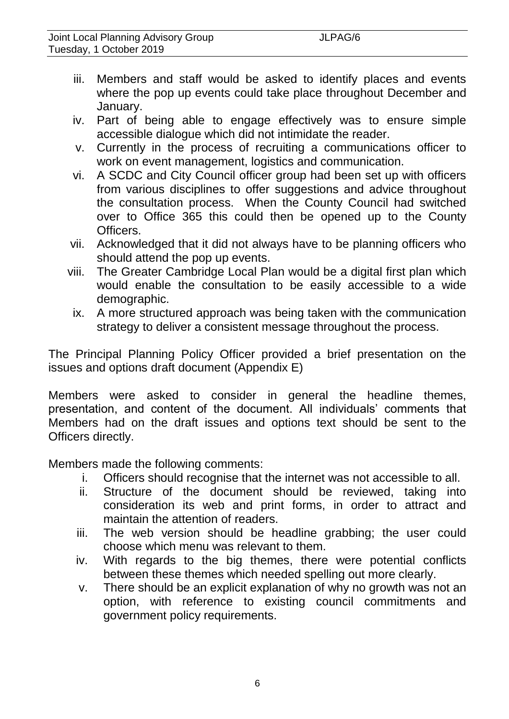- iii. Members and staff would be asked to identify places and events where the pop up events could take place throughout December and January.
- iv. Part of being able to engage effectively was to ensure simple accessible dialogue which did not intimidate the reader.
- v. Currently in the process of recruiting a communications officer to work on event management, logistics and communication.
- vi. A SCDC and City Council officer group had been set up with officers from various disciplines to offer suggestions and advice throughout the consultation process. When the County Council had switched over to Office 365 this could then be opened up to the County Officers.
- vii. Acknowledged that it did not always have to be planning officers who should attend the pop up events.
- viii. The Greater Cambridge Local Plan would be a digital first plan which would enable the consultation to be easily accessible to a wide demographic.
	- ix. A more structured approach was being taken with the communication strategy to deliver a consistent message throughout the process.

The Principal Planning Policy Officer provided a brief presentation on the issues and options draft document (Appendix E)

Members were asked to consider in general the headline themes, presentation, and content of the document. All individuals' comments that Members had on the draft issues and options text should be sent to the Officers directly.

Members made the following comments:

- i. Officers should recognise that the internet was not accessible to all.
- ii. Structure of the document should be reviewed, taking into consideration its web and print forms, in order to attract and maintain the attention of readers.
- iii. The web version should be headline grabbing; the user could choose which menu was relevant to them.
- iv. With regards to the big themes, there were potential conflicts between these themes which needed spelling out more clearly.
- v. There should be an explicit explanation of why no growth was not an option, with reference to existing council commitments and government policy requirements.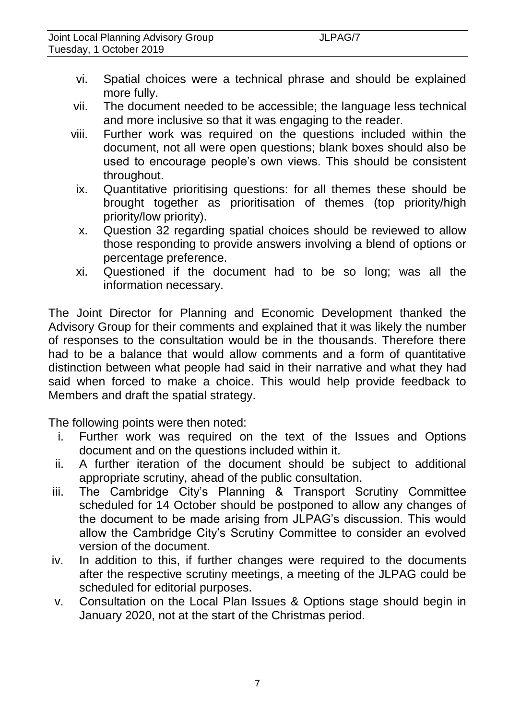- vi. Spatial choices were a technical phrase and should be explained more fully.
- vii. The document needed to be accessible; the language less technical and more inclusive so that it was engaging to the reader.
- viii. Further work was required on the questions included within the document, not all were open questions; blank boxes should also be used to encourage people's own views. This should be consistent throughout.
- ix. Quantitative prioritising questions: for all themes these should be brought together as prioritisation of themes (top priority/high priority/low priority).
- x. Question 32 regarding spatial choices should be reviewed to allow those responding to provide answers involving a blend of options or percentage preference.
- xi. Questioned if the document had to be so long; was all the information necessary.

The Joint Director for Planning and Economic Development thanked the Advisory Group for their comments and explained that it was likely the number of responses to the consultation would be in the thousands. Therefore there had to be a balance that would allow comments and a form of quantitative distinction between what people had said in their narrative and what they had said when forced to make a choice. This would help provide feedback to Members and draft the spatial strategy.

The following points were then noted:

- i. Further work was required on the text of the Issues and Options document and on the questions included within it.
- ii. A further iteration of the document should be subject to additional appropriate scrutiny, ahead of the public consultation.
- iii. The Cambridge City's Planning & Transport Scrutiny Committee scheduled for 14 October should be postponed to allow any changes of the document to be made arising from JLPAG's discussion. This would allow the Cambridge City's Scrutiny Committee to consider an evolved version of the document.
- iv. In addition to this, if further changes were required to the documents after the respective scrutiny meetings, a meeting of the JLPAG could be scheduled for editorial purposes.
- v. Consultation on the Local Plan Issues & Options stage should begin in January 2020, not at the start of the Christmas period.